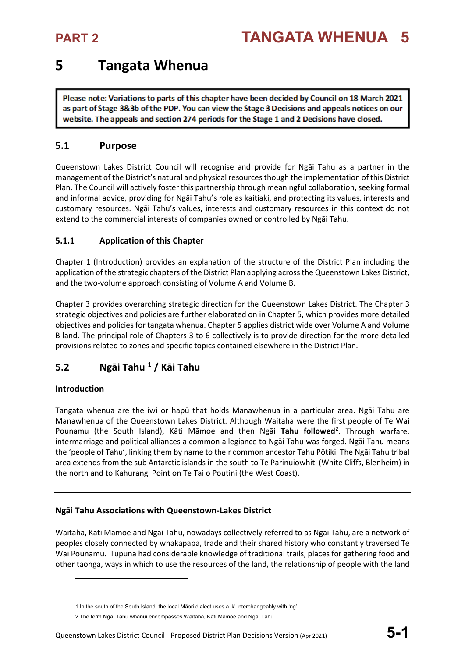## **5 Tangata Whenua**

Please note: Variations to parts of this chapter have been decided by Council on 18 March 2021 as part of Stage 3&3b of the PDP. You can view the Stage 3 Decisions and appeals notices on our website. The appeals and section 274 periods for the Stage 1 and 2 Decisions have closed.

### **5.1 Purpose**

Queenstown Lakes District Council will recognise and provide for Ngāi Tahu as a partner in the management of the District's natural and physical resources though the implementation of this District Plan. The Council will actively foster this partnership through meaningful collaboration, seeking formal and informal advice, providing for Ngāi Tahu's role as kaitiaki, and protecting its values, interests and customary resources. Ngāi Tahu's values, interests and customary resources in this context do not extend to the commercial interests of companies owned or controlled by Ngāi Tahu.

### **5.1.1 Application of this Chapter**

Chapter 1 (Introduction) provides an explanation of the structure of the District Plan including the application of the strategic chapters of the District Plan applying across the Queenstown Lakes District, and the two-volume approach consisting of Volume A and Volume B.

Chapter 3 provides overarching strategic direction for the Queenstown Lakes District. The Chapter 3 strategic objectives and policies are further elaborated on in Chapter 5, which provides more detailed objectives and policies for tangata whenua. Chapter 5 applies district wide over Volume A and Volume B land. The principal role of Chapters 3 to 6 collectively is to provide direction for the more detailed provisions related to zones and specific topics contained elsewhere in the District Plan.

### **5.2 Ngāi Tahu [1](#page-0-0) / Kāi Tahu**

### **Introduction**

 $\overline{\phantom{a}}$ 

Tangata whenua are the iwi or hapū that holds Manawhenua in a particular area. Ngāi Tahu are Manawhenua of the Queenstown Lakes District. Although Waitaha were the first people of Te Wai Pounamu (the South Island), Kāti Māmoe and then Ngā**i Tahu followed[2](#page-0-1)** . Through warfare, intermarriage and political alliances a common allegiance to Ngāi Tahu was forged. Ngāi Tahu means the 'people of Tahu', linking them by name to their common ancestor Tahu Pōtiki. The Ngāi Tahu tribal area extends from the sub Antarctic islands in the south to Te Parinuiowhiti (White Cliffs, Blenheim) in the north and to Kahurangi Point on Te Tai o Poutini (the West Coast).

### **Ngāi Tahu Associations with Queenstown-Lakes District**

Waitaha, Kāti Mamoe and Ngāi Tahu, nowadays collectively referred to as Ngāi Tahu, are a network of peoples closely connected by whakapapa, trade and their shared history who constantly traversed Te Wai Pounamu. Tūpuna had considerable knowledge of traditional trails, places for gathering food and other taonga, ways in which to use the resources of the land, the relationship of people with the land

<sup>1</sup> In the south of the South Island, the local Māori dialect uses a 'k' interchangeably with 'ng'

<span id="page-0-1"></span><span id="page-0-0"></span><sup>2</sup> The term Ngāi Tahu whānui encompasses Waitaha, Kāti Māmoe and Ngāi Tahu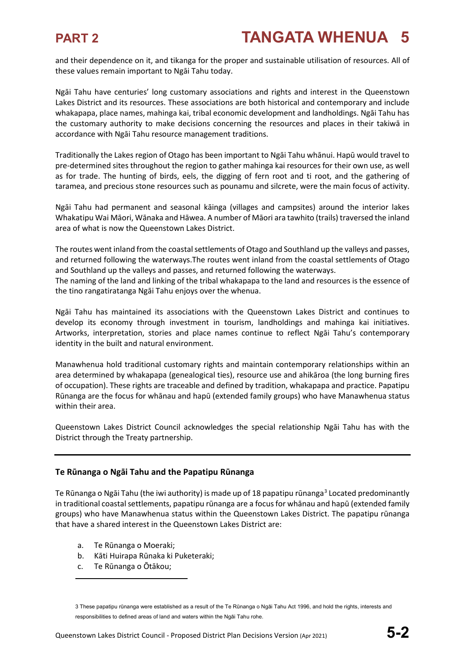and their dependence on it, and tikanga for the proper and sustainable utilisation of resources. All of these values remain important to Ngāi Tahu today.

Ngāi Tahu have centuries' long customary associations and rights and interest in the Queenstown Lakes District and its resources. These associations are both historical and contemporary and include whakapapa, place names, mahinga kai, tribal economic development and landholdings. Ngāi Tahu has the customary authority to make decisions concerning the resources and places in their takiwā in accordance with Ngāi Tahu resource management traditions.

Traditionally the Lakes region of Otago has been important to Ngāi Tahu whānui. Hapū would travel to pre-determined sites throughout the region to gather mahinga kai resources for their own use, as well as for trade. The hunting of birds, eels, the digging of fern root and ti root, and the gathering of taramea, and precious stone resources such as pounamu and silcrete, were the main focus of activity.

Ngāi Tahu had permanent and seasonal kāinga (villages and campsites) around the interior lakes Whakatipu Wai Māori, Wānaka and Hāwea. A number of Māori ara tawhito (trails) traversed the inland area of what is now the Queenstown Lakes District.

The routes went inland from the coastal settlements of Otago and Southland up the valleys and passes, and returned following the waterways.The routes went inland from the coastal settlements of Otago and Southland up the valleys and passes, and returned following the waterways.

The naming of the land and linking of the tribal whakapapa to the land and resources is the essence of the tino rangatiratanga Ngāi Tahu enjoys over the whenua.

Ngāi Tahu has maintained its associations with the Queenstown Lakes District and continues to develop its economy through investment in tourism, landholdings and mahinga kai initiatives. Artworks, interpretation, stories and place names continue to reflect Ngāi Tahu's contemporary identity in the built and natural environment.

Manawhenua hold traditional customary rights and maintain contemporary relationships within an area determined by whakapapa (genealogical ties), resource use and ahikāroa (the long burning fires of occupation). These rights are traceable and defined by tradition, whakapapa and practice. Papatipu Rūnanga are the focus for whānau and hapū (extended family groups) who have Manawhenua status within their area.

Queenstown Lakes District Council acknowledges the special relationship Ngāi Tahu has with the District through the Treaty partnership.

### **Te Rūnanga o Ngāi Tahu and the Papatipu Rūnanga**

Te Rūnanga o Ngāi Tahu (the iwi authority) is made up of 18 papatipu rūnanga<sup>[3](#page-1-0)</sup> Located predominantly in traditional coastal settlements, papatipu rūnanga are a focus for whānau and hapū (extended family groups) who have Manawhenua status within the Queenstown Lakes District. The papatipu rūnanga that have a shared interest in the Queenstown Lakes District are:

- a. Te Rūnanga o Moeraki;
- b. Kāti Huirapa Rūnaka ki Puketeraki;
- c. Te Rūnanga o Ōtākou;

 $\overline{\phantom{a}}$ 

<span id="page-1-0"></span><sup>3</sup> These papatipu rūnanga were established as a result of the Te Rūnanga o Ngāi Tahu Act 1996, and hold the rights, interests and responsibilities to defined areas of land and waters within the Ngāi Tahu rohe.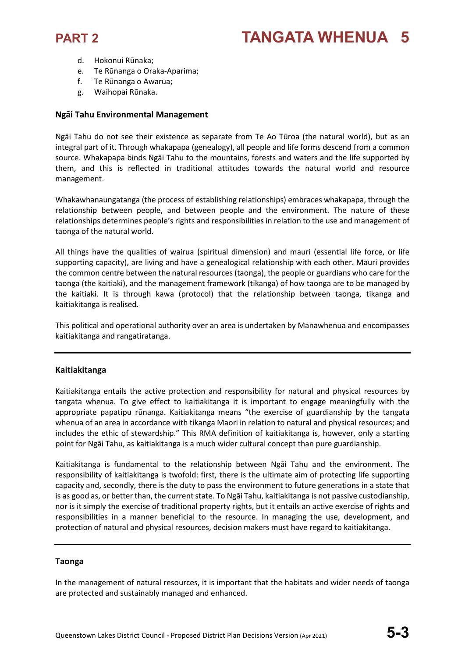

- d. Hokonui Rūnaka;
- e. Te Rūnanga o Oraka-Aparima;
- f. Te Rūnanga o Awarua;
- g. Waihopai Rūnaka.

#### **Ngāi Tahu Environmental Management**

Ngāi Tahu do not see their existence as separate from Te Ao Tūroa (the natural world), but as an integral part of it. Through whakapapa (genealogy), all people and life forms descend from a common source. Whakapapa binds Ngāi Tahu to the mountains, forests and waters and the life supported by them, and this is reflected in traditional attitudes towards the natural world and resource management.

Whakawhanaungatanga (the process of establishing relationships) embraces whakapapa, through the relationship between people, and between people and the environment. The nature of these relationships determines people's rights and responsibilities in relation to the use and management of taonga of the natural world.

All things have the qualities of wairua (spiritual dimension) and mauri (essential life force, or life supporting capacity), are living and have a genealogical relationship with each other. Mauri provides the common centre between the natural resources (taonga), the people or guardians who care for the taonga (the kaitiaki), and the management framework (tikanga) of how taonga are to be managed by the kaitiaki. It is through kawa (protocol) that the relationship between taonga, tikanga and kaitiakitanga is realised.

This political and operational authority over an area is undertaken by Manawhenua and encompasses kaitiakitanga and rangatiratanga.

#### **Kaitiakitanga**

Kaitiakitanga entails the active protection and responsibility for natural and physical resources by tangata whenua. To give effect to kaitiakitanga it is important to engage meaningfully with the appropriate papatipu rūnanga. Kaitiakitanga means "the exercise of guardianship by the tangata whenua of an area in accordance with tikanga Maori in relation to natural and physical resources; and includes the ethic of stewardship." This RMA definition of kaitiakitanga is, however, only a starting point for Ngāi Tahu, as kaitiakitanga is a much wider cultural concept than pure guardianship.

Kaitiakitanga is fundamental to the relationship between Ngāi Tahu and the environment. The responsibility of kaitiakitanga is twofold: first, there is the ultimate aim of protecting life supporting capacity and, secondly, there is the duty to pass the environment to future generations in a state that is as good as, or better than, the current state. To Ngāi Tahu, kaitiakitanga is not passive custodianship, nor is it simply the exercise of traditional property rights, but it entails an active exercise of rights and responsibilities in a manner beneficial to the resource. In managing the use, development, and protection of natural and physical resources, decision makers must have regard to kaitiakitanga.

#### **Taonga**

In the management of natural resources, it is important that the habitats and wider needs of taonga are protected and sustainably managed and enhanced.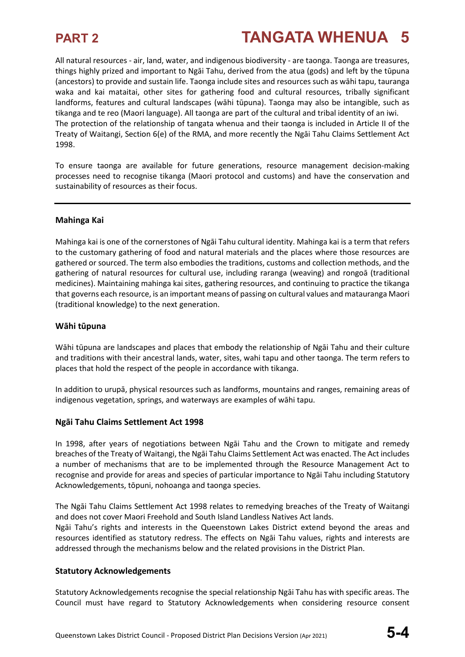All natural resources - air, land, water, and indigenous biodiversity - are taonga. Taonga are treasures, things highly prized and important to Ngāi Tahu, derived from the atua (gods) and left by the tūpuna (ancestors) to provide and sustain life. Taonga include sites and resources such as wāhi tapu, tauranga waka and kai mataitai, other sites for gathering food and cultural resources, tribally significant landforms, features and cultural landscapes (wāhi tūpuna). Taonga may also be intangible, such as tikanga and te reo (Maori language). All taonga are part of the cultural and tribal identity of an iwi. The protection of the relationship of tangata whenua and their taonga is included in Article II of the Treaty of Waitangi, Section 6(e) of the RMA, and more recently the Ngāi Tahu Claims Settlement Act 1998.

To ensure taonga are available for future generations, resource management decision-making processes need to recognise tikanga (Maori protocol and customs) and have the conservation and sustainability of resources as their focus.

#### **Mahinga Kai**

Mahinga kai is one of the cornerstones of Ngāi Tahu cultural identity. Mahinga kai is a term that refers to the customary gathering of food and natural materials and the places where those resources are gathered or sourced. The term also embodies the traditions, customs and collection methods, and the gathering of natural resources for cultural use, including raranga (weaving) and rongoā (traditional medicines). Maintaining mahinga kai sites, gathering resources, and continuing to practice the tikanga that governs each resource, is an important means of passing on cultural values and matauranga Maori (traditional knowledge) to the next generation.

#### **Wāhi tūpuna**

Wāhi tūpuna are landscapes and places that embody the relationship of Ngāi Tahu and their culture and traditions with their ancestral lands, water, sites, wahi tapu and other taonga. The term refers to places that hold the respect of the people in accordance with tikanga.

In addition to urupā, physical resources such as landforms, mountains and ranges, remaining areas of indigenous vegetation, springs, and waterways are examples of wāhi tapu.

### **Ngāi Tahu Claims Settlement Act 1998**

In 1998, after years of negotiations between Ngāi Tahu and the Crown to mitigate and remedy breaches of the Treaty of Waitangi, the Ngāi Tahu Claims Settlement Act was enacted. The Act includes a number of mechanisms that are to be implemented through the Resource Management Act to recognise and provide for areas and species of particular importance to Ngāi Tahu including Statutory Acknowledgements, tōpuni, nohoanga and taonga species.

The Ngāi Tahu Claims Settlement Act 1998 relates to remedying breaches of the Treaty of Waitangi and does not cover Maori Freehold and South Island Landless Natives Act lands.

Ngāi Tahu's rights and interests in the Queenstown Lakes District extend beyond the areas and resources identified as statutory redress. The effects on Ngāi Tahu values, rights and interests are addressed through the mechanisms below and the related provisions in the District Plan.

#### **Statutory Acknowledgements**

Statutory Acknowledgements recognise the special relationship Ngāi Tahu has with specific areas. The Council must have regard to Statutory Acknowledgements when considering resource consent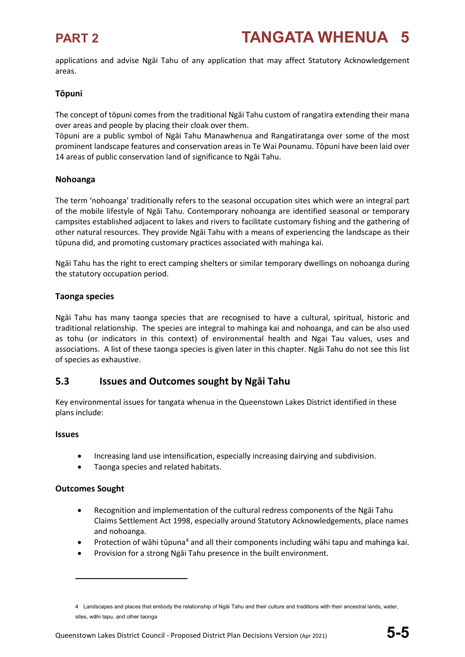applications and advise Ngāi Tahu of any application that may affect Statutory Acknowledgement areas.

### **Tōpuni**

The concept of tōpuni comes from the traditional Ngāi Tahu custom of rangatira extending their mana over areas and people by placing their cloak over them.

Tōpuni are a public symbol of Ngāi Tahu Manawhenua and Rangatiratanga over some of the most prominent landscape features and conservation areas in Te Wai Pounamu. Tōpuni have been laid over 14 areas of public conservation land of significance to Ngāi Tahu.

### **Nohoanga**

The term 'nohoanga' traditionally refers to the seasonal occupation sites which were an integral part of the mobile lifestyle of Ngāi Tahu. Contemporary nohoanga are identified seasonal or temporary campsites established adjacent to lakes and rivers to facilitate customary fishing and the gathering of other natural resources. They provide Ngāi Tahu with a means of experiencing the landscape as their tūpuna did, and promoting customary practices associated with mahinga kai.

Ngāi Tahu has the right to erect camping shelters or similar temporary dwellings on nohoanga during the statutory occupation period.

### **Taonga species**

Ngāi Tahu has many taonga species that are recognised to have a cultural, spiritual, historic and traditional relationship. The species are integral to mahinga kai and nohoanga, and can be also used as tohu (or indicators in this context) of environmental health and Ngai Tau values, uses and associations. A list of these taonga species is given later in this chapter. Ngāi Tahu do not see this list of species as exhaustive.

### **5.3 Issues and Outcomes sought by Ngāi Tahu**

Key environmental issues for tangata whenua in the Queenstown Lakes District identified in these plans include:

### **Issues**

- Increasing land use intensification, especially increasing dairying and subdivision.
- Taonga species and related habitats.

### **Outcomes Sought**

 $\overline{\phantom{a}}$ 

- Recognition and implementation of the cultural redress components of the Ngāi Tahu Claims Settlement Act 1998, especially around Statutory Acknowledgements, place names and nohoanga.
- Protection of wāhi tūpuna<sup>[4](#page-4-0)</sup> and all their components including wāhi tapu and mahinga kai.
- Provision for a strong Ngāi Tahu presence in the built environment.

<span id="page-4-0"></span><sup>4</sup> Landscapes and places that embody the relationship of Ngāi Tahu and their culture and traditions with their ancestral lands, water, sites, wāhi tapu, and other taonga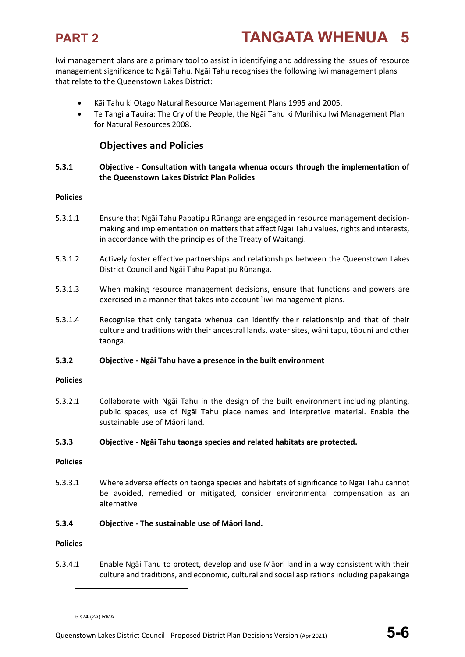Iwi management plans are a primary tool to assist in identifying and addressing the issues of resource management significance to Ngāi Tahu. Ngāi Tahu recognises the following iwi management plans that relate to the Queenstown Lakes District:

- Kāi Tahu ki Otago Natural Resource Management Plans 1995 and 2005.
- Te Tangi a Tauira: The Cry of the People, the Ngāi Tahu ki Murihiku Iwi Management Plan for Natural Resources 2008.

### **Objectives and Policies**

#### **5.3.1 Objective - Consultation with tangata whenua occurs through the implementation of the Queenstown Lakes District Plan Policies**

#### **Policies**

- 5.3.1.1 Ensure that Ngāi Tahu Papatipu Rūnanga are engaged in resource management decisionmaking and implementation on matters that affect Ngāi Tahu values, rights and interests, in accordance with the principles of the Treaty of Waitangi.
- 5.3.1.2 Actively foster effective partnerships and relationships between the Queenstown Lakes District Council and Ngāi Tahu Papatipu Rūnanga.
- 5.3.1.3 When making resource management decisions, ensure that functions and powers are exercised in a manner that takes into account <sup>[5](#page-5-0)</sup>iwi management plans.
- 5.3.1.4 Recognise that only tangata whenua can identify their relationship and that of their culture and traditions with their ancestral lands, water sites, wāhi tapu, tōpuni and other taonga.

#### **5.3.2 Objective - Ngāi Tahu have a presence in the built environment**

#### **Policies**

5.3.2.1 Collaborate with Ngāi Tahu in the design of the built environment including planting, public spaces, use of Ngāi Tahu place names and interpretive material. Enable the sustainable use of Māori land.

#### **5.3.3 Objective - Ngāi Tahu taonga species and related habitats are protected.**

#### **Policies**

5.3.3.1 Where adverse effects on taonga species and habitats of significance to Ngāi Tahu cannot be avoided, remedied or mitigated, consider environmental compensation as an alternative

#### **5.3.4 Objective - The sustainable use of Māori land.**

#### **Policies**

l

5.3.4.1 Enable Ngāi Tahu to protect, develop and use Māori land in a way consistent with their culture and traditions, and economic, cultural and social aspirations including papakainga

<span id="page-5-0"></span><sup>5</sup> s74 (2A) RMA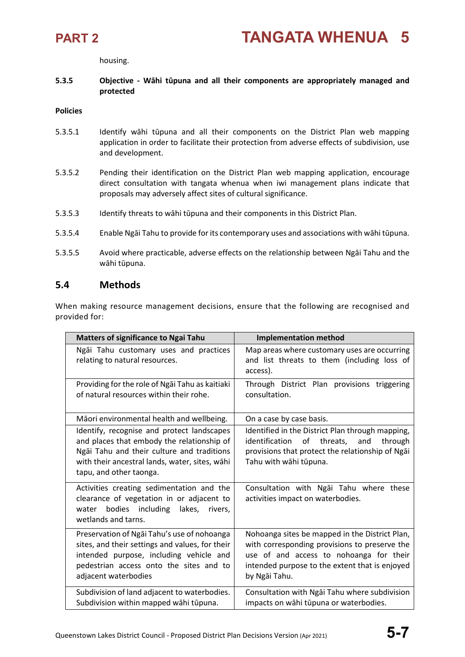housing.

#### **5.3.5 Objective - Wāhi tūpuna and all their components are appropriately managed and protected**

#### **Policies**

- 5.3.5.1 Identify wāhi tūpuna and all their components on the District Plan web mapping application in order to facilitate their protection from adverse effects of subdivision, use and development.
- 5.3.5.2 Pending their identification on the District Plan web mapping application, encourage direct consultation with tangata whenua when iwi management plans indicate that proposals may adversely affect sites of cultural significance.
- 5.3.5.3 Identify threats to wāhi tūpuna and their components in this District Plan.
- 5.3.5.4 Enable Ngāi Tahu to provide for its contemporary uses and associations with wāhi tūpuna.
- 5.3.5.5 Avoid where practicable, adverse effects on the relationship between Ngāi Tahu and the wāhi tūpuna.

### **5.4 Methods**

When making resource management decisions, ensure that the following are recognised and provided for:

| <b>Matters of significance to Ngai Tahu</b>                                                                                                                                                                         | <b>Implementation method</b>                                                                                                                                                                                  |
|---------------------------------------------------------------------------------------------------------------------------------------------------------------------------------------------------------------------|---------------------------------------------------------------------------------------------------------------------------------------------------------------------------------------------------------------|
| Ngāi Tahu customary uses and practices<br>relating to natural resources.                                                                                                                                            | Map areas where customary uses are occurring<br>and list threats to them (including loss of<br>access).                                                                                                       |
| Providing for the role of Ngai Tahu as kaitiaki<br>of natural resources within their rohe.                                                                                                                          | Through District Plan provisions triggering<br>consultation.                                                                                                                                                  |
| Māori environmental health and wellbeing.                                                                                                                                                                           | On a case by case basis.                                                                                                                                                                                      |
| Identify, recognise and protect landscapes<br>and places that embody the relationship of<br>Ngāi Tahu and their culture and traditions<br>with their ancestral lands, water, sites, wāhi<br>tapu, and other taonga. | Identified in the District Plan through mapping,<br>of threats,<br>identification<br>and<br>through<br>provisions that protect the relationship of Ngai<br>Tahu with wāhi tūpuna.                             |
| Activities creating sedimentation and the<br>clearance of vegetation in or adjacent to<br>water bodies including<br>lakes, rivers,<br>wetlands and tarns.                                                           | Consultation with Ngai Tahu where these<br>activities impact on waterbodies.                                                                                                                                  |
| Preservation of Ngai Tahu's use of nohoanga<br>sites, and their settings and values, for their<br>intended purpose, including vehicle and<br>pedestrian access onto the sites and to<br>adjacent waterbodies        | Nohoanga sites be mapped in the District Plan,<br>with corresponding provisions to preserve the<br>use of and access to nohoanga for their<br>intended purpose to the extent that is enjoyed<br>by Ngāi Tahu. |
| Subdivision of land adjacent to waterbodies.<br>Subdivision within mapped wāhi tūpuna.                                                                                                                              | Consultation with Ngai Tahu where subdivision<br>impacts on wāhi tūpuna or waterbodies.                                                                                                                       |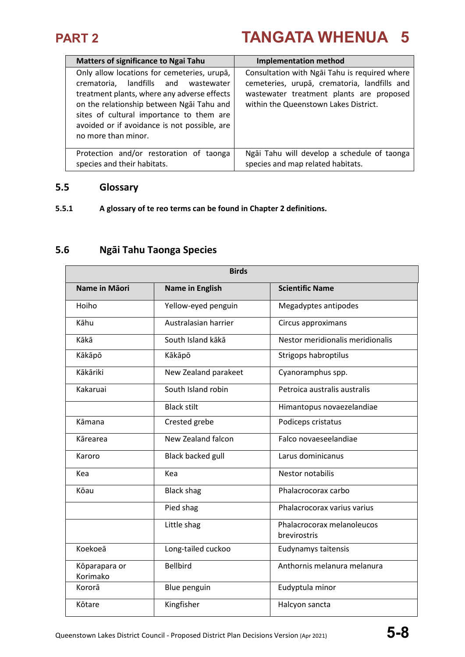| <b>Matters of significance to Ngai Tahu</b>                                                                                                                                                                                                                                                        | <b>Implementation method</b>                                                                                                                                                       |
|----------------------------------------------------------------------------------------------------------------------------------------------------------------------------------------------------------------------------------------------------------------------------------------------------|------------------------------------------------------------------------------------------------------------------------------------------------------------------------------------|
| Only allow locations for cemeteries, urupā,<br>crematoria, landfills and wastewater<br>treatment plants, where any adverse effects<br>on the relationship between Ngai Tahu and<br>sites of cultural importance to them are<br>avoided or if avoidance is not possible, are<br>no more than minor. | Consultation with Ngai Tahu is required where<br>cemeteries, urupā, crematoria, landfills and<br>wastewater treatment plants are proposed<br>within the Queenstown Lakes District. |
| Protection and/or restoration of taonga<br>species and their habitats.                                                                                                                                                                                                                             | Ngāi Tahu will develop a schedule of taonga<br>species and map related habitats.                                                                                                   |

### **5.5 Glossary**

### **5.5.1 A glossary of te reo terms can be found in Chapter 2 definitions.**

## **5.6 Ngāi Tahu Taonga Species**

| <b>Birds</b>              |                          |                                            |
|---------------------------|--------------------------|--------------------------------------------|
| Name in Māori             | <b>Name in English</b>   | <b>Scientific Name</b>                     |
| Hoiho                     | Yellow-eyed penguin      | Megadyptes antipodes                       |
| Kāhu                      | Australasian harrier     | Circus approximans                         |
| Kākā                      | South Island kākā        | Nestor meridionalis meridionalis           |
| Kākāpō                    | Kākāpō                   | Strigops habroptilus                       |
| Kākāriki                  | New Zealand parakeet     | Cyanoramphus spp.                          |
| Kakaruai                  | South Island robin       | Petroica australis australis               |
|                           | <b>Black stilt</b>       | Himantopus novaezelandiae                  |
| Kāmana                    | Crested grebe            | Podiceps cristatus                         |
| Kārearea                  | New Zealand falcon       | Falco novaeseelandiae                      |
| Karoro                    | <b>Black backed gull</b> | Larus dominicanus                          |
| Kea                       | Kea                      | Nestor notabilis                           |
| Kōau                      | <b>Black shag</b>        | Phalacrocorax carbo                        |
|                           | Pied shag                | Phalacrocorax varius varius                |
|                           | Little shag              | Phalacrocorax melanoleucos<br>brevirostris |
| Koekoeā                   | Long-tailed cuckoo       | Eudynamys taitensis                        |
| Kōparapara or<br>Korimako | <b>Bellbird</b>          | Anthornis melanura melanura                |
| Kororā                    | Blue penguin             | Eudyptula minor                            |
| Kōtare                    | Kingfisher               | Halcyon sancta                             |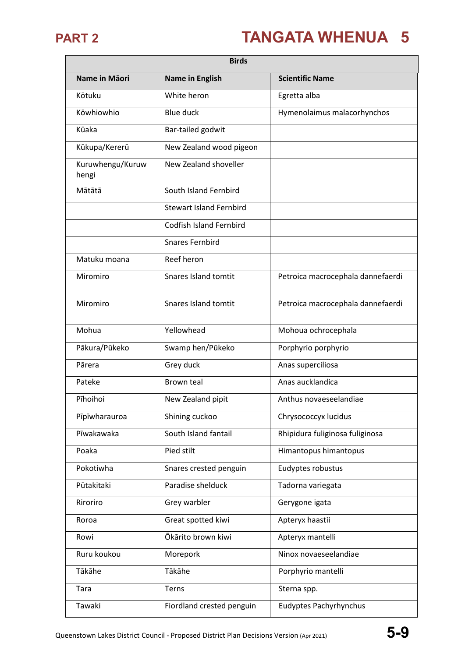| <b>Birds</b>              |                                |                                   |
|---------------------------|--------------------------------|-----------------------------------|
| Name in Māori             | <b>Name in English</b>         | <b>Scientific Name</b>            |
| Kōtuku                    | White heron                    | Egretta alba                      |
| Kōwhiowhio                | <b>Blue duck</b>               | Hymenolaimus malacorhynchos       |
| Kūaka                     | Bar-tailed godwit              |                                   |
| Kūkupa/Kererū             | New Zealand wood pigeon        |                                   |
| Kuruwhengu/Kuruw<br>hengi | New Zealand shoveller          |                                   |
| Mātātā                    | South Island Fernbird          |                                   |
|                           | <b>Stewart Island Fernbird</b> |                                   |
|                           | <b>Codfish Island Fernbird</b> |                                   |
|                           | <b>Snares Fernbird</b>         |                                   |
| Matuku moana              | Reef heron                     |                                   |
| Miromiro                  | Snares Island tomtit           | Petroica macrocephala dannefaerdi |
| Miromiro                  | <b>Snares Island tomtit</b>    | Petroica macrocephala dannefaerdi |
| Mohua                     | Yellowhead                     | Mohoua ochrocephala               |
| Pākura/Pūkeko             | Swamp hen/Pūkeko               | Porphyrio porphyrio               |
| Pārera                    | Grey duck                      | Anas superciliosa                 |
| Pateke                    | <b>Brown teal</b>              | Anas aucklandica                  |
| Pīhoihoi                  | New Zealand pipit              | Anthus novaeseelandiae            |
| Pīpīwharauroa             | Shining cuckoo                 | Chrysococcyx lucidus              |
| Pīwakawaka                | South Island fantail           | Rhipidura fuliginosa fuliginosa   |
| Poaka                     | Pied stilt                     | Himantopus himantopus             |
| Pokotiwha                 | Snares crested penguin         | Eudyptes robustus                 |
| Pūtakitaki                | Paradise shelduck              | Tadorna variegata                 |
| Riroriro                  | Grey warbler                   | Gerygone igata                    |
| Roroa                     | Great spotted kiwi             | Apteryx haastii                   |
| Rowi                      | Ōkārito brown kiwi             | Apteryx mantelli                  |
| Ruru koukou               | Morepork                       | Ninox novaeseelandiae             |
| Tākāhe                    | Tākāhe                         | Porphyrio mantelli                |
| Tara                      | Terns                          | Sterna spp.                       |
| Tawaki                    | Fiordland crested penguin      | <b>Eudyptes Pachyrhynchus</b>     |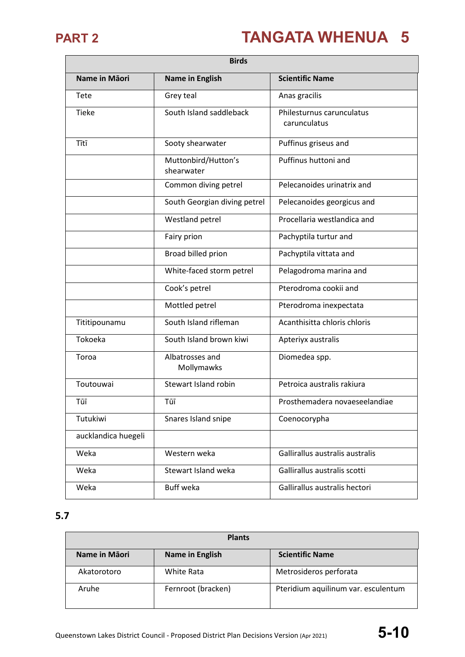Ē.

# **PART 2 TANGATA WHENUA 5**

| <b>Birds</b>        |                                   |                                           |
|---------------------|-----------------------------------|-------------------------------------------|
| Name in Māori       | <b>Name in English</b>            | <b>Scientific Name</b>                    |
| Tete                | Grey teal                         | Anas gracilis                             |
| <b>Tieke</b>        | South Island saddleback           | Philesturnus carunculatus<br>carunculatus |
| Tītī                | Sooty shearwater                  | Puffinus griseus and                      |
|                     | Muttonbird/Hutton's<br>shearwater | Puffinus huttoni and                      |
|                     | Common diving petrel              | Pelecanoides urinatrix and                |
|                     | South Georgian diving petrel      | Pelecanoides georgicus and                |
|                     | Westland petrel                   | Procellaria westlandica and               |
|                     | Fairy prion                       | Pachyptila turtur and                     |
|                     | Broad billed prion                | Pachyptila vittata and                    |
|                     | White-faced storm petrel          | Pelagodroma marina and                    |
|                     | Cook's petrel                     | Pterodroma cookii and                     |
|                     | Mottled petrel                    | Pterodroma inexpectata                    |
| Tititipounamu       | South Island rifleman             | Acanthisitta chloris chloris              |
| Tokoeka             | South Island brown kiwi           | Apteriyx australis                        |
| Toroa               | Albatrosses and<br>Mollymawks     | Diomedea spp.                             |
| Toutouwai           | Stewart Island robin              | Petroica australis rakiura                |
| Tūī                 | Tūī                               | Prosthemadera novaeseelandiae             |
| Tutukiwi            | Snares Island snipe               | Coenocorypha                              |
| aucklandica huegeli |                                   |                                           |
| Weka                | Western weka                      | Gallirallus australis australis           |
| Weka                | Stewart Island weka               | Gallirallus australis scotti              |
| Weka                | Buff weka                         | Gallirallus australis hectori             |

### **5.7**

| <b>Plants</b> |                        |                                     |
|---------------|------------------------|-------------------------------------|
| Name in Māori | <b>Name in English</b> | <b>Scientific Name</b>              |
| Akatorotoro   | White Rata             | Metrosideros perforata              |
| Aruhe         | Fernroot (bracken)     | Pteridium aquilinum var. esculentum |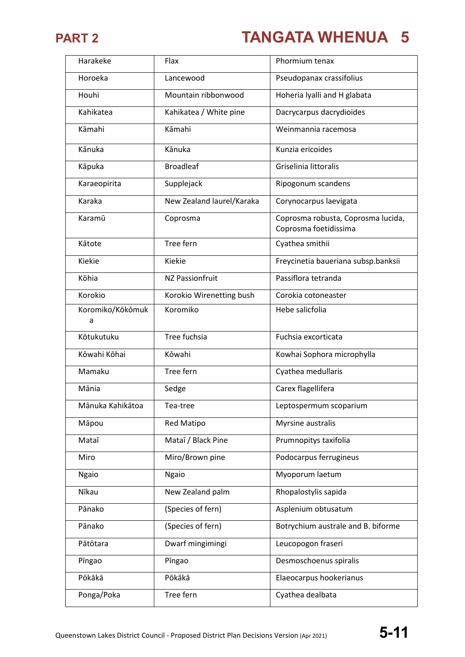

| Harakeke              | Flax                      | Phormium tenax                                              |
|-----------------------|---------------------------|-------------------------------------------------------------|
| Horoeka               | Lancewood                 | Pseudopanax crassifolius                                    |
| Houhi                 | Mountain ribbonwood       | Hoheria lyalli and H glabata                                |
| Kahikatea             | Kahikatea / White pine    | Dacrycarpus dacrydioides                                    |
| Kāmahi                | Kāmahi                    | Weinmannia racemosa                                         |
| Kānuka                | Kānuka                    | Kunzia ericoides                                            |
| Kāpuka                | <b>Broadleaf</b>          | Griselinia littoralis                                       |
| Karaeopirita          | Supplejack                | Ripogonum scandens                                          |
| Karaka                | New Zealand laurel/Karaka | Corynocarpus laevigata                                      |
| Karamū                | Coprosma                  | Coprosma robusta, Coprosma lucida,<br>Coprosma foetidissima |
| Kātote                | Tree fern                 | Cyathea smithii                                             |
| Kiekie                | Kiekie                    | Freycinetia baueriana subsp.banksii                         |
| Kōhia                 | <b>NZ Passionfruit</b>    | Passiflora tetranda                                         |
| Korokio               | Korokio Wirenetting bush  | Corokia cotoneaster                                         |
| Koromiko/Kōkōmuk<br>a | Koromiko                  | Hebe salicfolia                                             |
| Kōtukutuku            | Tree fuchsia              | Fuchsia excorticata                                         |
| Kōwahi Kōhai          | Kōwahi                    | Kowhai Sophora microphylla                                  |
| Mamaku                | Tree fern                 | Cyathea medullaris                                          |
| Mānia                 | Sedge                     | Carex flagellifera                                          |
| Mānuka Kahikātoa      | Tea-tree                  | Leptospermum scoparium                                      |
| Māpou                 | Red Matipo                | Myrsine australis                                           |
| Mataī                 | Mataī / Black Pine        | Prumnopitys taxifolia                                       |
| Miro                  | Miro/Brown pine           | Podocarpus ferrugineus                                      |
| <b>Ngaio</b>          | <b>Ngaio</b>              | Myoporum laetum                                             |
| Nīkau                 | New Zealand palm          | Rhopalostylis sapida                                        |
| Pānako                | (Species of fern)         | Asplenium obtusatum                                         |
| Pānako                | (Species of fern)         | Botrychium australe and B. biforme                          |
| Pātōtara              | Dwarf mingimingi          | Leucopogon fraseri                                          |
| Pingao                | Pingao                    | Desmoschoenus spiralis                                      |
| Pōkākā                | Pōkākā                    | Elaeocarpus hookerianus                                     |
| Ponga/Poka            | Tree fern                 | Cyathea dealbata                                            |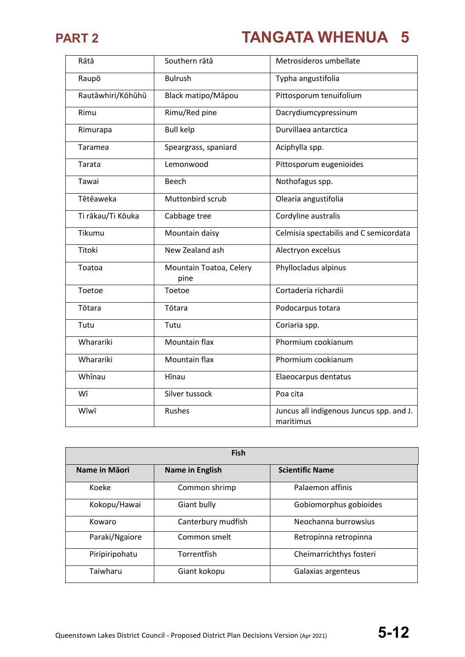

| Rātā              | Southern rātā                   | Metrosideros umbellate                                |
|-------------------|---------------------------------|-------------------------------------------------------|
| Raupō             | <b>Bulrush</b>                  | Typha angustifolia                                    |
| Rautāwhiri/Kōhūhū | Black matipo/Māpou              | Pittosporum tenuifolium                               |
| Rimu              | Rimu/Red pine                   | Dacrydiumcypressinum                                  |
| Rimurapa          | <b>Bull kelp</b>                | Durvillaea antarctica                                 |
| Taramea           | Speargrass, spaniard            | Aciphylla spp.                                        |
| Tarata            | Lemonwood                       | Pittosporum eugenioides                               |
| Tawai             | Beech                           | Nothofagus spp.                                       |
| Tētēaweka         | Muttonbird scrub                | Olearia angustifolia                                  |
| Ti rākau/Ti Kōuka | Cabbage tree                    | Cordyline australis                                   |
| Tikumu            | Mountain daisy                  | Celmisia spectabilis and C semicordata                |
| Titoki            | New Zealand ash                 | Alectryon excelsus                                    |
| Toatoa            | Mountain Toatoa, Celery<br>pine | Phyllocladus alpinus                                  |
| Toetoe            | Toetoe                          | Cortaderia richardii                                  |
| Tōtara            | Tōtara                          | Podocarpus totara                                     |
| Tutu              | Tutu                            | Coriaria spp.                                         |
| Wharariki         | Mountain flax                   | Phormium cookianum                                    |
| Wharariki         | Mountain flax                   | Phormium cookianum                                    |
| Whinau            | Hīnau                           | Elaeocarpus dentatus                                  |
| Wī                | Silver tussock                  | Poa cita                                              |
| Wīwī              | <b>Rushes</b>                   | Juncus all indigenous Juncus spp. and J.<br>maritimus |

| <b>Fish</b>    |                        |                         |
|----------------|------------------------|-------------------------|
| Name in Māori  | <b>Name in English</b> | <b>Scientific Name</b>  |
| Koeke          | Common shrimp          | Palaemon affinis        |
| Kokopu/Hawai   | Giant bully            | Gobiomorphus gobioides  |
| Kowaro         | Canterbury mudfish     | Neochanna burrowsius    |
| Paraki/Ngaiore | Common smelt           | Retropinna retropinna   |
| Piripiripohatu | Torrentfish            | Cheimarrichthys fosteri |
| Taiwharu       | Giant kokopu           | Galaxias argenteus      |